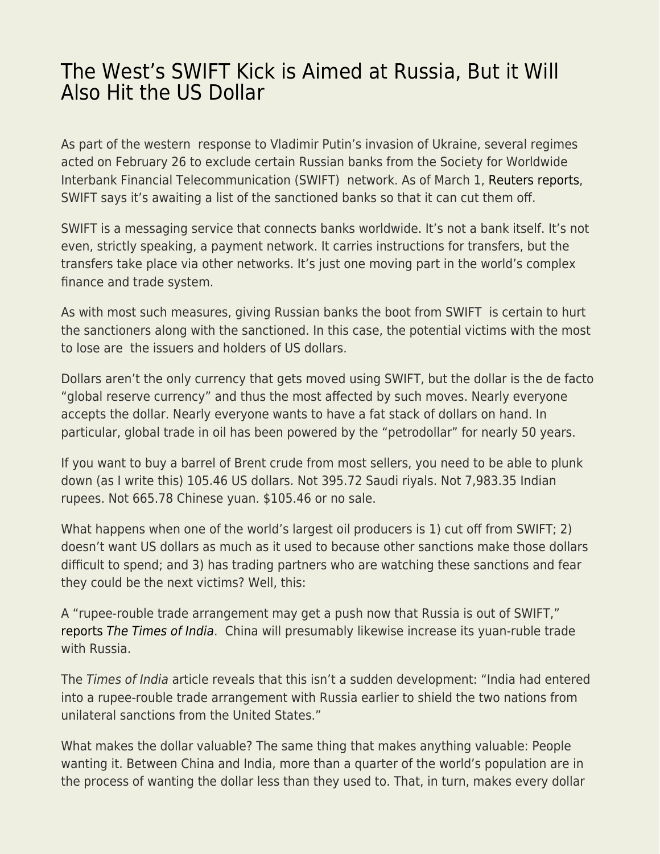## [The West's SWIFT Kick is Aimed at Russia, But it Will](https://everything-voluntary.com/the-wests-swift-kick-is-aimed-at-russia-but-it-will-also-hit-the-us-dollar) [Also Hit the US Dollar](https://everything-voluntary.com/the-wests-swift-kick-is-aimed-at-russia-but-it-will-also-hit-the-us-dollar)

As part of the western response to Vladimir Putin's invasion of Ukraine, several regimes acted on February 26 to exclude certain Russian banks from the Society for Worldwide Interbank Financial Telecommunication (SWIFT) network. As of March 1, [Reuters reports,](https://www.reuters.com/article/ukraine-crisis-banks-swift/swift-says-it-is-waiting-for-names-of-russian-banks-to-disconnect-idUSKBN2KY43R) SWIFT says it's awaiting a list of the sanctioned banks so that it can cut them off.

SWIFT is a messaging service that connects banks worldwide. It's not a bank itself. It's not even, strictly speaking, a payment network. It carries instructions for transfers, but the transfers take place via other networks. It's just one moving part in the world's complex finance and trade system.

As with most such measures, giving Russian banks the boot from SWIFT is certain to hurt the sanctioners along with the sanctioned. In this case, the potential victims with the most to lose are the issuers and holders of US dollars.

Dollars aren't the only currency that gets moved using SWIFT, but the dollar is the de facto "global reserve currency" and thus the most affected by such moves. Nearly everyone accepts the dollar. Nearly everyone wants to have a fat stack of dollars on hand. In particular, global trade in oil has been powered by the "petrodollar" for nearly 50 years.

If you want to buy a barrel of Brent crude from most sellers, you need to be able to plunk down (as I write this) 105.46 US dollars. Not 395.72 Saudi riyals. Not 7,983.35 Indian rupees. Not 665.78 Chinese yuan. \$105.46 or no sale.

What happens when one of the world's largest oil producers is 1) cut off from SWIFT; 2) doesn't want US dollars as much as it used to because other sanctions make those dollars difficult to spend; and 3) has trading partners who are watching these sanctions and fear they could be the next victims? Well, this:

A "rupee-rouble trade arrangement may get a push now that Russia is out of SWIFT," [reports](https://timesofindia.indiatimes.com/business/india-business/the-rupee-rouble-trade-arrangement-may-get-a-push-now-that-russia-is-out-of-swift/articleshow/89886546.cms) [The Times of India](https://timesofindia.indiatimes.com/business/india-business/the-rupee-rouble-trade-arrangement-may-get-a-push-now-that-russia-is-out-of-swift/articleshow/89886546.cms). China will presumably likewise increase its yuan-ruble trade with Russia.

The Times of India article reveals that this isn't a sudden development: "India had entered into a rupee-rouble trade arrangement with Russia earlier to shield the two nations from unilateral sanctions from the United States."

What makes the dollar valuable? The same thing that makes anything valuable: People wanting it. Between China and India, more than a quarter of the world's population are in the process of wanting the dollar less than they used to. That, in turn, makes every dollar